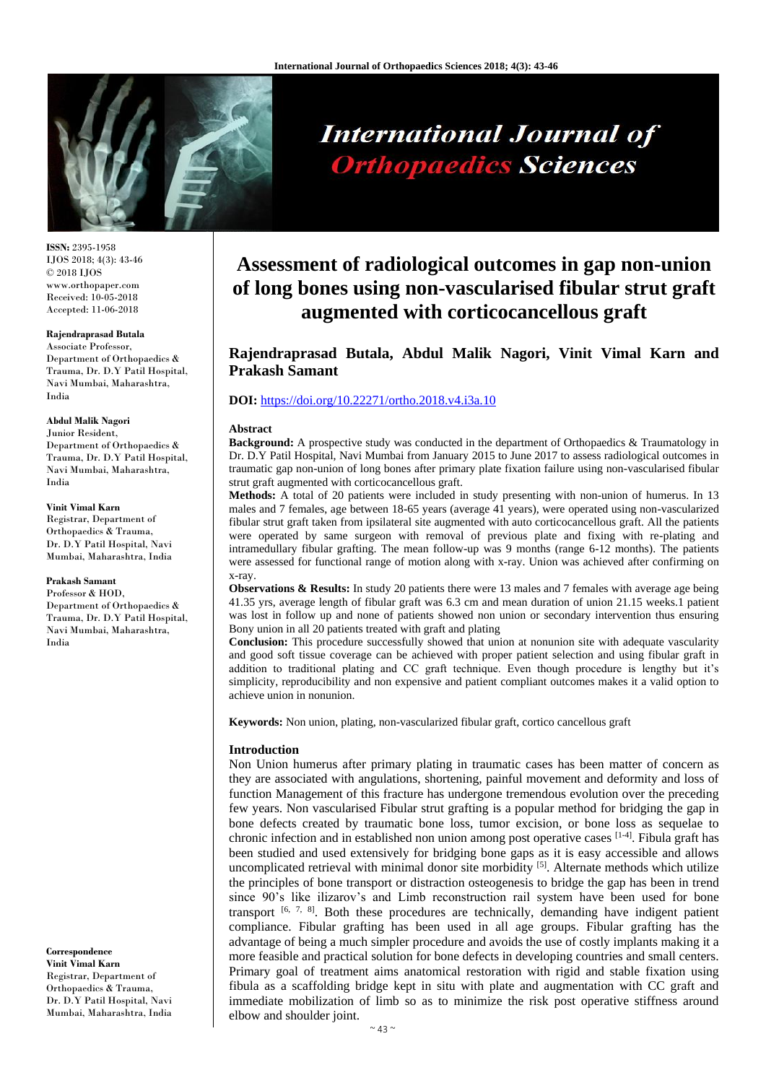

# **International Journal of Orthopaedics Sciences**

**ISSN:** 2395-1958 IJOS 2018; 4(3): 43-46 © 2018 IJOS www.orthopaper.com Received: 10-05-2018 Accepted: 11-06-2018

#### **Rajendraprasad Butala**

Associate Professor, Department of Orthopaedics & Trauma, Dr. D.Y Patil Hospital, Navi Mumbai, Maharashtra, India

#### **Abdul Malik Nagori**

Junior Resident, Department of Orthopaedics & Trauma, Dr. D.Y Patil Hospital, Navi Mumbai, Maharashtra, India

#### **Vinit Vimal Karn**

Registrar, Department of Orthopaedics & Trauma, Dr. D.Y Patil Hospital, Navi Mumbai, Maharashtra, India

#### **Prakash Samant**

Professor & HOD, Department of Orthopaedics & Trauma, Dr. D.Y Patil Hospital, Navi Mumbai, Maharashtra, India

**Correspondence Vinit Vimal Karn** Registrar, Department of Orthopaedics & Trauma, Dr. D.Y Patil Hospital, Navi Mumbai, Maharashtra, India

## **Assessment of radiological outcomes in gap non-union of long bones using non-vascularised fibular strut graft augmented with corticocancellous graft**

## **Rajendraprasad Butala, Abdul Malik Nagori, Vinit Vimal Karn and Prakash Samant**

## **DOI:** <https://doi.org/10.22271/ortho.2018.v4.i3a.10>

#### **Abstract**

**Background:** A prospective study was conducted in the department of Orthopaedics & Traumatology in Dr. D.Y Patil Hospital, Navi Mumbai from January 2015 to June 2017 to assess radiological outcomes in traumatic gap non-union of long bones after primary plate fixation failure using non-vascularised fibular strut graft augmented with corticocancellous graft.

**Methods:** A total of 20 patients were included in study presenting with non-union of humerus. In 13 males and 7 females, age between 18-65 years (average 41 years), were operated using non-vascularized fibular strut graft taken from ipsilateral site augmented with auto corticocancellous graft. All the patients were operated by same surgeon with removal of previous plate and fixing with re-plating and intramedullary fibular grafting. The mean follow-up was 9 months (range 6-12 months). The patients were assessed for functional range of motion along with x-ray. Union was achieved after confirming on x-ray.

**Observations & Results:** In study 20 patients there were 13 males and 7 females with average age being 41.35 yrs, average length of fibular graft was 6.3 cm and mean duration of union 21.15 weeks.1 patient was lost in follow up and none of patients showed non union or secondary intervention thus ensuring Bony union in all 20 patients treated with graft and plating

**Conclusion:** This procedure successfully showed that union at nonunion site with adequate vascularity and good soft tissue coverage can be achieved with proper patient selection and using fibular graft in addition to traditional plating and CC graft technique. Even though procedure is lengthy but it's simplicity, reproducibility and non expensive and patient compliant outcomes makes it a valid option to achieve union in nonunion.

**Keywords:** Non union, plating, non-vascularized fibular graft, cortico cancellous graft

#### **Introduction**

Non Union humerus after primary plating in traumatic cases has been matter of concern as they are associated with angulations, shortening, painful movement and deformity and loss of function Management of this fracture has undergone tremendous evolution over the preceding few years. Non vascularised Fibular strut grafting is a popular method for bridging the gap in bone defects created by traumatic bone loss, tumor excision, or bone loss as sequelae to chronic infection and in established non union among post operative cases [1-4] . Fibula graft has been studied and used extensively for bridging bone gaps as it is easy accessible and allows uncomplicated retrieval with minimal donor site morbidity  $[5]$ . Alternate methods which utilize the principles of bone transport or distraction osteogenesis to bridge the gap has been in trend since 90's like ilizarov's and Limb reconstruction rail system have been used for bone transport  $[6, 7, 8]$ . Both these procedures are technically, demanding have indigent patient compliance. Fibular grafting has been used in all age groups. Fibular grafting has the advantage of being a much simpler procedure and avoids the use of costly implants making it a more feasible and practical solution for bone defects in developing countries and small centers. Primary goal of treatment aims anatomical restoration with rigid and stable fixation using fibula as a scaffolding bridge kept in situ with plate and augmentation with CC graft and immediate mobilization of limb so as to minimize the risk post operative stiffness around elbow and shoulder joint.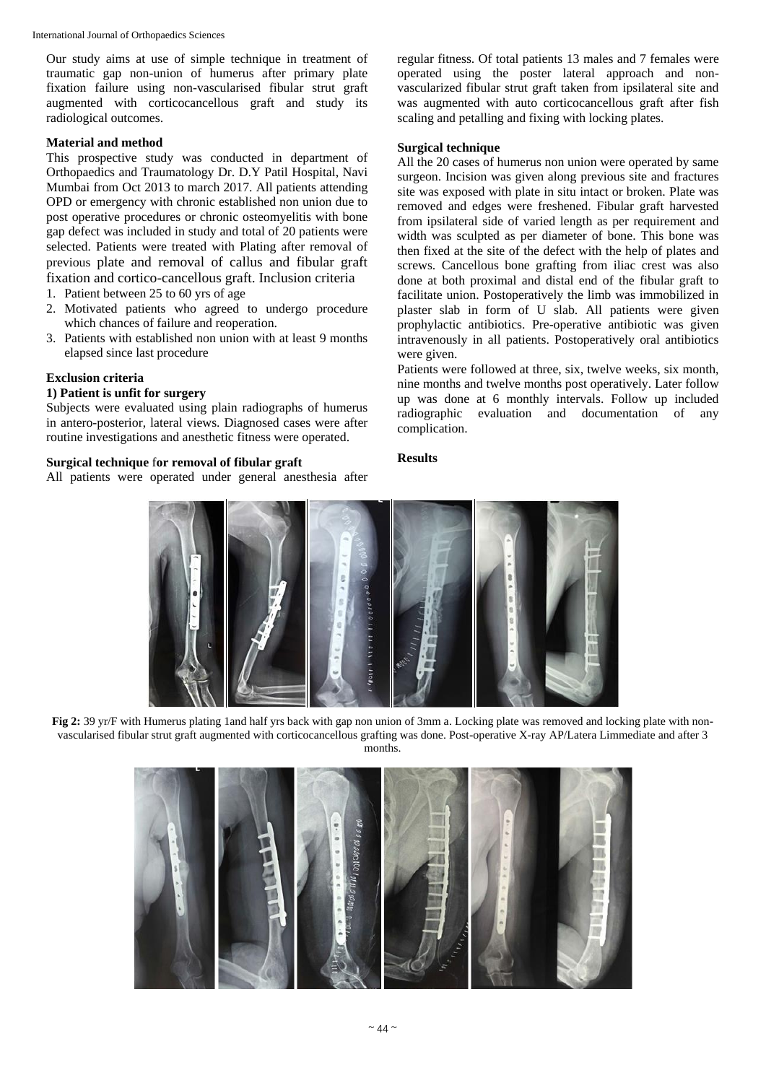Our study aims at use of simple technique in treatment of traumatic gap non-union of humerus after primary plate fixation failure using non-vascularised fibular strut graft augmented with corticocancellous graft and study its radiological outcomes.

### **Material and method**

This prospective study was conducted in department of Orthopaedics and Traumatology Dr. D.Y Patil Hospital, Navi Mumbai from Oct 2013 to march 2017. All patients attending OPD or emergency with chronic established non union due to post operative procedures or chronic osteomyelitis with bone gap defect was included in study and total of 20 patients were selected. Patients were treated with Plating after removal of previous plate and removal of callus and fibular graft fixation and cortico-cancellous graft. Inclusion criteria

- 1. Patient between 25 to 60 yrs of age
- 2. Motivated patients who agreed to undergo procedure which chances of failure and reoperation.
- 3. Patients with established non union with at least 9 months elapsed since last procedure

#### **Exclusion criteria**

#### **1) Patient is unfit for surgery**

Subjects were evaluated using plain radiographs of humerus in antero-posterior, lateral views. Diagnosed cases were after routine investigations and anesthetic fitness were operated.

## **Surgical technique** f**or removal of fibular graft**

All patients were operated under general anesthesia after

regular fitness. Of total patients 13 males and 7 females were operated using the poster lateral approach and nonvascularized fibular strut graft taken from ipsilateral site and was augmented with auto corticocancellous graft after fish scaling and petalling and fixing with locking plates.

#### **Surgical technique**

All the 20 cases of humerus non union were operated by same surgeon. Incision was given along previous site and fractures site was exposed with plate in situ intact or broken. Plate was removed and edges were freshened. Fibular graft harvested from ipsilateral side of varied length as per requirement and width was sculpted as per diameter of bone. This bone was then fixed at the site of the defect with the help of plates and screws. Cancellous bone grafting from iliac crest was also done at both proximal and distal end of the fibular graft to facilitate union. Postoperatively the limb was immobilized in plaster slab in form of U slab. All patients were given prophylactic antibiotics. Pre-operative antibiotic was given intravenously in all patients. Postoperatively oral antibiotics were given.

Patients were followed at three, six, twelve weeks, six month, nine months and twelve months post operatively. Later follow up was done at 6 monthly intervals. Follow up included radiographic evaluation and documentation of any complication.

## **Results**



**Fig 2:** 39 yr/F with Humerus plating 1and half yrs back with gap non union of 3mm a. Locking plate was removed and locking plate with nonvascularised fibular strut graft augmented with corticocancellous grafting was done. Post-operative X-ray AP/Latera Limmediate and after 3 months.

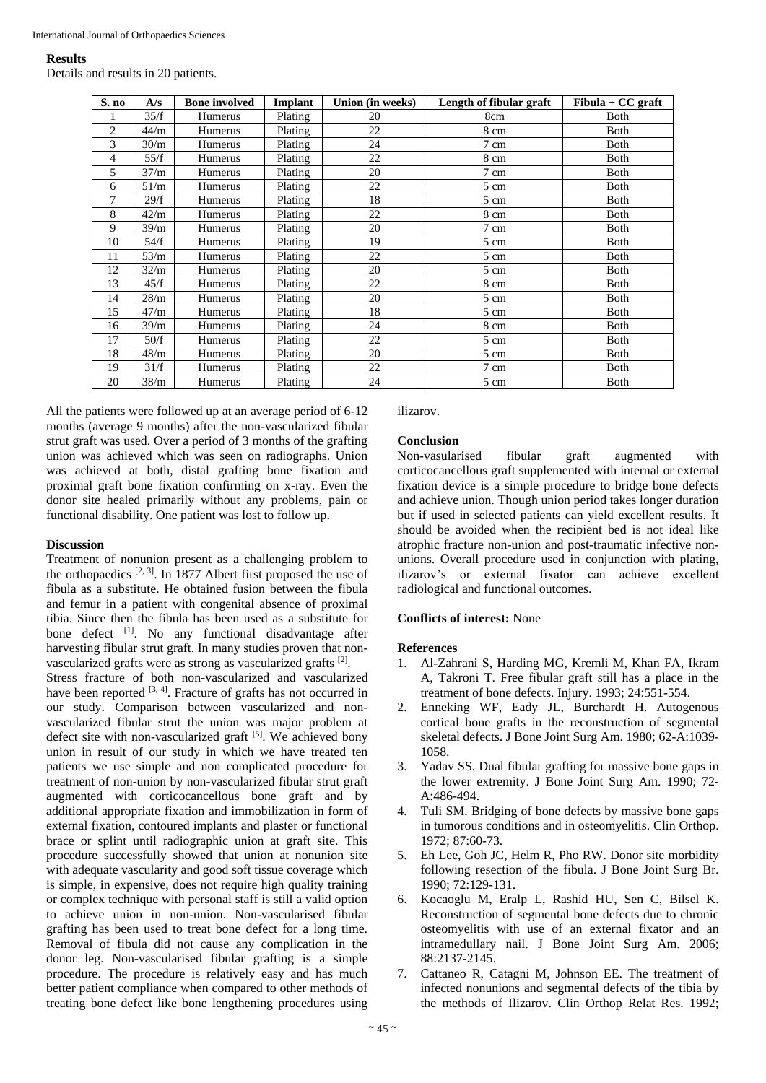## **Results**

Details and results in 20 patients.

| S. no | A/s  | <b>Bone</b> involved | Implant | Union (in weeks) | Length of fibular graft | $Fibula + CC$ graft |
|-------|------|----------------------|---------|------------------|-------------------------|---------------------|
|       | 35/f | Humerus              | Plating | 20               | 8cm                     | Both                |
| 2     | 44/m | Humerus              | Plating | 22               | 8 cm                    | Both                |
| 3     | 30/m | Humerus              | Plating | 24               | 7 cm                    | Both                |
| 4     | 55/f | Humerus              | Plating | 22               | 8 cm                    | Both                |
| 5     | 37/m | Humerus              | Plating | 20               | 7 cm                    | Both                |
| 6     | 51/m | Humerus              | Plating | 22               | 5 cm                    | <b>Both</b>         |
| 7     | 29/f | Humerus              | Plating | 18               | 5 cm                    | Both                |
| 8     | 42/m | Humerus              | Plating | 22               | 8 cm                    | <b>B</b> oth        |
| 9     | 39/m | Humerus              | Plating | 20               | 7 cm                    | Both                |
| 10    | 54/f | Humerus              | Plating | 19               | 5 cm                    | <b>B</b> oth        |
| 11    | 53/m | Humerus              | Plating | 22               | 5 cm                    | Both                |
| 12    | 32/m | Humerus              | Plating | 20               | 5 cm                    | Both                |
| 13    | 45/f | Humerus              | Plating | 22               | 8 cm                    | Both                |
| 14    | 28/m | Humerus              | Plating | 20               | 5 cm                    | Both                |
| 15    | 47/m | Humerus              | Plating | 18               | 5 cm                    | <b>Both</b>         |
| 16    | 39/m | Humerus              | Plating | 24               | 8 cm                    | Both                |
| 17    | 50/f | Humerus              | Plating | 22               | 5 cm                    | Both                |
| 18    | 48/m | Humerus              | Plating | 20               | 5 cm                    | Both                |
| 19    | 31/f | Humerus              | Plating | 22               | 7 cm                    | Both                |
| 20    | 38/m | Humerus              | Plating | 24               | 5 cm                    | Both                |

All the patients were followed up at an average period of 6-12 months (average 9 months) after the non-vascularized fibular strut graft was used. Over a period of 3 months of the grafting union was achieved which was seen on radiographs. Union was achieved at both, distal grafting bone fixation and proximal graft bone fixation confirming on x-ray. Even the donor site healed primarily without any problems, pain or functional disability. One patient was lost to follow up.

## **Discussion**

Treatment of nonunion present as a challenging problem to the orthopaedics  $[2, 3]$ . In 1877 Albert first proposed the use of fibula as a substitute. He obtained fusion between the fibula and femur in a patient with congenital absence of proximal tibia. Since then the fibula has been used as a substitute for bone defect <sup>[1]</sup>. No any functional disadvantage after harvesting fibular strut graft. In many studies proven that nonvascularized grafts were as strong as vascularized grafts<sup>[2]</sup>.

Stress fracture of both non-vascularized and vascularized have been reported  $[3, 4]$ . Fracture of grafts has not occurred in our study. Comparison between vascularized and nonvascularized fibular strut the union was major problem at defect site with non-vascularized graft [5]. We achieved bony union in result of our study in which we have treated ten patients we use simple and non complicated procedure for treatment of non-union by non-vascularized fibular strut graft augmented with corticocancellous bone graft and by additional appropriate fixation and immobilization in form of external fixation, contoured implants and plaster or functional brace or splint until radiographic union at graft site. This procedure successfully showed that union at nonunion site with adequate vascularity and good soft tissue coverage which is simple, in expensive, does not require high quality training or complex technique with personal staff is still a valid option to achieve union in non-union. Non-vascularised fibular grafting has been used to treat bone defect for a long time. Removal of fibula did not cause any complication in the donor leg. Non-vascularised fibular grafting is a simple procedure. The procedure is relatively easy and has much better patient compliance when compared to other methods of treating bone defect like bone lengthening procedures using

ilizarov.

## **Conclusion**

Non-vasularised fibular graft augmented with corticocancellous graft supplemented with internal or external fixation device is a simple procedure to bridge bone defects and achieve union. Though union period takes longer duration but if used in selected patients can yield excellent results. It should be avoided when the recipient bed is not ideal like atrophic fracture non-union and post-traumatic infective nonunions. Overall procedure used in conjunction with plating, ilizarov's or external fixator can achieve excellent radiological and functional outcomes.

## **Conflicts of interest:** None

## **References**

- 1. Al-Zahrani S, Harding MG, Kremli M, Khan FA, Ikram A, Takroni T. Free fibular graft still has a place in the treatment of bone defects. Injury. 1993; 24:551-554.
- 2. Enneking WF, Eady JL, Burchardt H. Autogenous cortical bone grafts in the reconstruction of segmental skeletal defects. J Bone Joint Surg Am. 1980; 62-A:1039- 1058.
- 3. Yadav SS. Dual fibular grafting for massive bone gaps in the lower extremity. J Bone Joint Surg Am. 1990; 72- A:486-494.
- 4. Tuli SM. Bridging of bone defects by massive bone gaps in tumorous conditions and in osteomyelitis. Clin Orthop. 1972; 87:60-73.
- 5. Eh Lee, Goh JC, Helm R, Pho RW. Donor site morbidity following resection of the fibula. J Bone Joint Surg Br. 1990; 72:129-131.
- 6. Kocaoglu M, Eralp L, Rashid HU, Sen C, Bilsel K. Reconstruction of segmental bone defects due to chronic osteomyelitis with use of an external fixator and an intramedullary nail. J Bone Joint Surg Am. 2006; 88:2137-2145.
- 7. Cattaneo R, Catagni M, Johnson EE. The treatment of infected nonunions and segmental defects of the tibia by the methods of Ilizarov. Clin Orthop Relat Res. 1992;